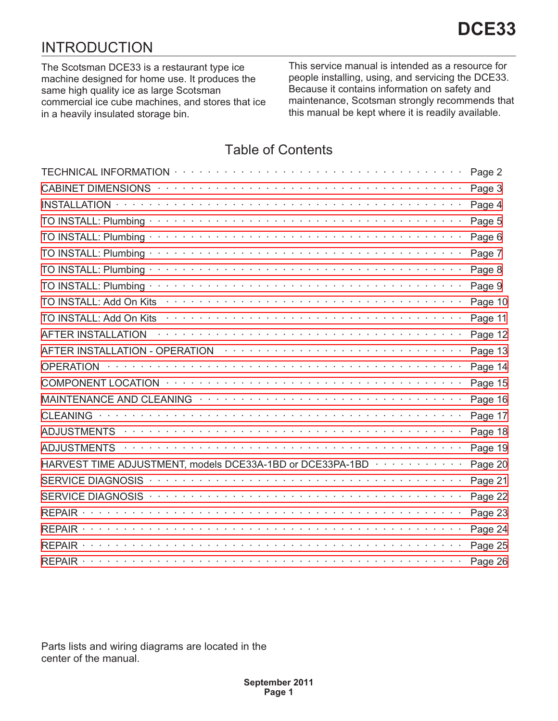# INTRODUCTION

The Scotsman DCE33 is a restaurant type ice machine designed for home use. It produces the same high quality ice as large Scotsman commercial ice cube machines, and stores that ice in a heavily insulated storage bin.

This service manual is intended as a resource for people installing, using, and servicing the DCE33. Because it contains information on safety and maintenance, Scotsman strongly recommends that this manual be kept where it is readily available.

## **Table of Contents**

|                                                                                                                 | Page 2  |
|-----------------------------------------------------------------------------------------------------------------|---------|
|                                                                                                                 | Page 3  |
| <b>INSTALLATION</b>                                                                                             | Page 4  |
|                                                                                                                 | Page 5  |
|                                                                                                                 | Page 6  |
|                                                                                                                 | Page 7  |
|                                                                                                                 | Page 8  |
| TO INSTALL: Plumbing ·                                                                                          | Page 9  |
| TO INSTALL: Add On Kits                                                                                         | Page 10 |
| TO INSTALL: Add On Kits                                                                                         | Page 11 |
| <b>AFTER INSTALLATION</b>                                                                                       | Page 12 |
| AFTER INSTALLATION - OPERATION ACCOUNT AND ACCOUNT AT A CONTRACT A CONTRACT A CONTRACT A CONTRACT A CONTRACT A  | Page 13 |
| <b>OPERATION</b>                                                                                                | Page 14 |
|                                                                                                                 | Page 15 |
| MAINTENANCE AND CLEANING TELL THE CONTROL CONTROL CONTROL CONTROL CONTROL CONTROL CONTROL CONTROL CONTROL CONTR | Page 16 |
|                                                                                                                 | Page 17 |
|                                                                                                                 | Page 18 |
| <b>ADJUSTMENTS</b>                                                                                              | Page 19 |
| HARVEST TIME ADJUSTMENT, models DCE33A-1BD or DCE33PA-1BD $\cdots \cdots \cdots \cdots$                         | Page 20 |
|                                                                                                                 | Page 21 |
|                                                                                                                 | Page 22 |
|                                                                                                                 | Page 23 |
| $REPAIR \cdot \cdot \cdot$                                                                                      | Page 24 |
| REPAIR.                                                                                                         | Page 25 |
|                                                                                                                 | Page 26 |

*Parts lists and wiring diagrams are located in the center of the manual.*

**DCE33**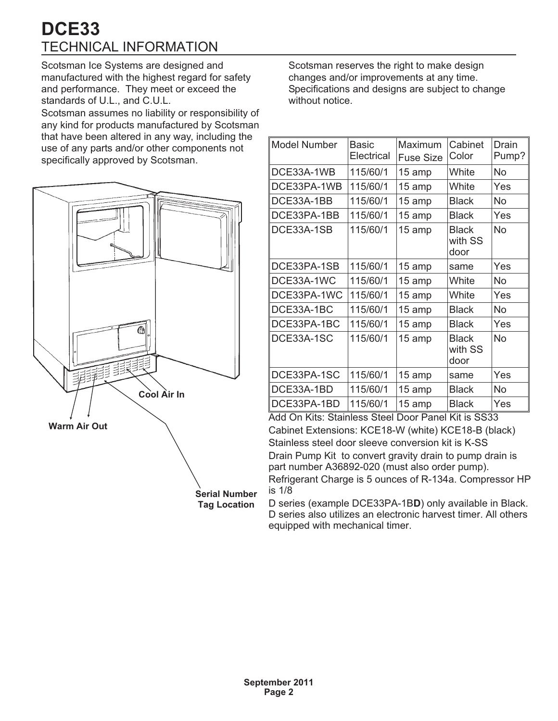# TECHNICAL INFORMATION **DCE33**

Scotsman Ice Systems are designed and manufactured with the highest regard for safety and performance. They meet or exceed the standards of U.L., and C.U.L.

Scotsman assumes no liability or responsibility of any kind for products manufactured by Scotsman that have been altered in any way, including the use of any parts and/or other components not specifically approved by Scotsman.



Scotsman reserves the right to make design changes and/or improvements at any time. Specifications and designs are subject to change without notice.

| <b>Model Number</b> | Basic<br>Electrical | Maximum<br><b>Fuse Size</b> | Cabinet<br>Color                | Drain<br>Pump? |
|---------------------|---------------------|-----------------------------|---------------------------------|----------------|
| DCE33A-1WB          | 115/60/1            | 15 amp                      | White                           | <b>No</b>      |
| DCE33PA-1WB         | 115/60/1            | 15 amp                      | White                           | Yes            |
| DCE33A-1BB          | 115/60/1            | 15 amp                      | <b>Black</b>                    | No.            |
| DCE33PA-1BB         | 115/60/1            | 15 amp                      | <b>Black</b>                    | Yes            |
| DCE33A-1SB          | 115/60/1            | 15 amp                      | <b>Black</b><br>with SS<br>door | <b>No</b>      |
| DCE33PA-1SB         | 115/60/1            | 15 amp                      | same                            | Yes            |
| DCE33A-1WC          | 115/60/1            | 15 amp                      | White                           | No             |
| DCE33PA-1WC         | 115/60/1            | 15 amp                      | White                           | Yes            |
| DCE33A-1BC          | 115/60/1            | 15 amp                      | <b>Black</b>                    | No             |
| DCE33PA-1BC         | 115/60/1            | 15 amp                      | <b>Black</b>                    | Yes            |
| DCE33A-1SC          | 115/60/1            | 15 amp                      | <b>Black</b><br>with SS<br>door | No             |
| DCE33PA-1SC         | 115/60/1            | 15 amp                      | same                            | Yes            |
| DCE33A-1BD          | 115/60/1            | 15 amp                      | <b>Black</b>                    | No             |
| DCE33PA-1BD         | 115/60/1            | 15 amp                      | <b>Black</b>                    | Yes            |

Add On Kits: Stainless Steel Door Panel Kit is SS33 Cabinet Extensions: KCE18-W (white) KCE18-B (black) Stainless steel door sleeve conversion kit is K-SS Drain Pump Kit to convert gravity drain to pump drain is part number A36892-020 (must also order pump). Refrigerant Charge is 5 ounces of R-134a. Compressor HP is 1/8

D series (example DCE33PA-1B**D**) only available in Black. D series also utilizes an electronic harvest timer. All others equipped with mechanical timer.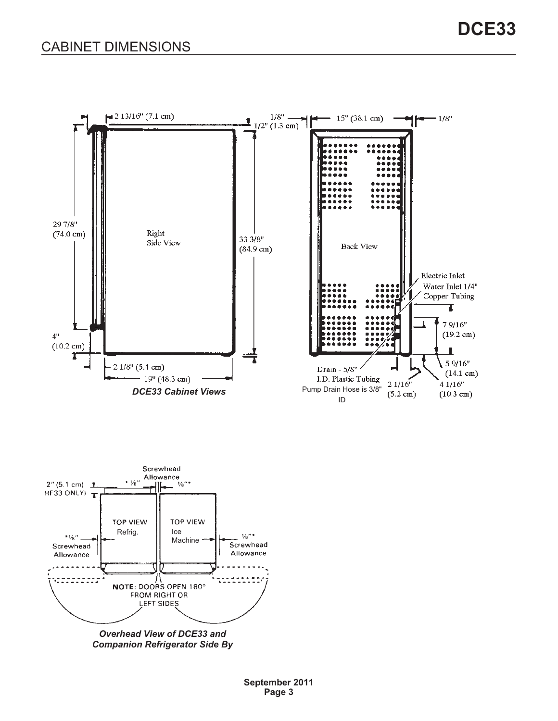<span id="page-2-0"></span>



*Overhead View of DCE33 and Companion Refrigerator Side By*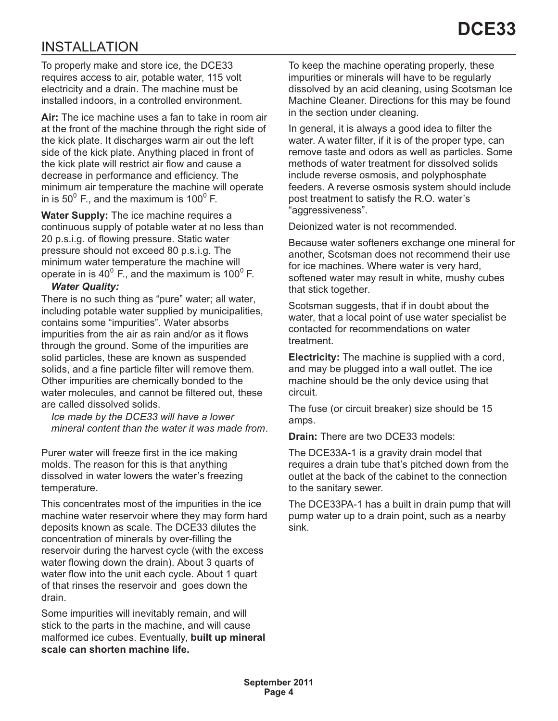# <span id="page-3-0"></span>INSTALLATION

To properly make and store ice, the DCE33 requires access to air, potable water, 115 volt electricity and a drain. The machine must be installed indoors, in a controlled environment.

**Air:** The ice machine uses a fan to take in room air at the front of the machine through the right side of the kick plate. It discharges warm air out the left side of the kick plate. Anything placed in front of the kick plate will restrict air flow and cause a decrease in performance and efficiency. The minimum air temperature the machine will operate in is 50 $^{\circ}$  F., and the maximum is 100 $^{\circ}$  F.

**Water Supply:** The ice machine requires a continuous supply of potable water at no less than 20 p.s.i.g. of flowing pressure. Static water pressure should not exceed 80 p.s.i.g. The minimum water temperature the machine will operate in is  $40^{\circ}$  F., and the maximum is 100 $^{\circ}$  F.

#### *Water Quality:*

There is no such thing as "pure" water; all water, including potable water supplied by municipalities, contains some "impurities". Water absorbs impurities from the air as rain and/or as it flows through the ground. Some of the impurities are solid particles, these are known as suspended solids, and a fine particle filter will remove them. Other impurities are chemically bonded to the water molecules, and cannot be filtered out, these are called dissolved solids.

*Ice made by the DCE33 will have a lower mineral content than the water it was made from*.

Purer water will freeze first in the ice making molds. The reason for this is that anything dissolved in water lowers the water's freezing temperature.

This concentrates most of the impurities in the ice machine water reservoir where they may form hard deposits known as scale. The DCE33 dilutes the concentration of minerals by over-filling the reservoir during the harvest cycle (with the excess water flowing down the drain). About 3 quarts of water flow into the unit each cycle. About 1 quart of that rinses the reservoir and goes down the drain.

Some impurities will inevitably remain, and will stick to the parts in the machine, and will cause malformed ice cubes. Eventually, **built up mineral scale can shorten machine life.**

To keep the machine operating properly, these impurities or minerals will have to be regularly dissolved by an acid cleaning, using Scotsman Ice Machine Cleaner. Directions for this may be found in the section under cleaning.

In general, it is always a good idea to filter the water. A water filter, if it is of the proper type, can remove taste and odors as well as particles. Some methods of water treatment for dissolved solids include reverse osmosis, and polyphosphate feeders. A reverse osmosis system should include post treatment to satisfy the R.O. water's "aggressiveness".

Deionized water is not recommended.

Because water softeners exchange one mineral for another, Scotsman does not recommend their use for ice machines. Where water is very hard, softened water may result in white, mushy cubes that stick together.

Scotsman suggests, that if in doubt about the water, that a local point of use water specialist be contacted for recommendations on water treatment.

**Electricity:** The machine is supplied with a cord, and may be plugged into a wall outlet. The ice machine should be the only device using that circuit.

The fuse (or circuit breaker) size should be 15 amps.

**Drain:** There are two DCE33 models:

The DCE33A-1 is a gravity drain model that requires a drain tube that's pitched down from the outlet at the back of the cabinet to the connection to the sanitary sewer.

The DCE33PA-1 has a built in drain pump that will pump water up to a drain point, such as a nearby sink.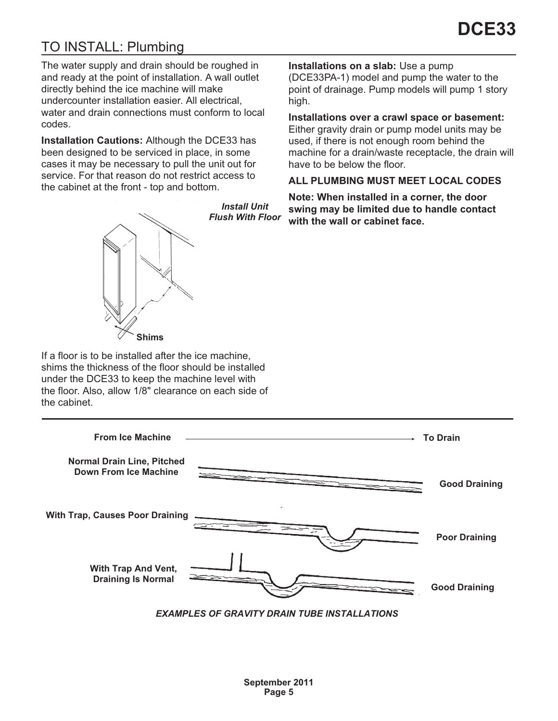# <span id="page-4-0"></span>TO INSTALL: Plumbing

The water supply and drain should be roughed in and ready at the point of installation. A wall outlet directly behind the ice machine will make undercounter installation easier. All electrical, water and drain connections must conform to local codes.

**Installation Cautions:** Although the DCE33 has been designed to be serviced in place, in some cases it may be necessary to pull the unit out for service. For that reason do not restrict access to the cabinet at the front - top and bottom.



*Install Unit Flush With Floor* **Installations on a slab:** Use a pump

(DCE33PA-1) model and pump the water to the point of drainage. Pump models will pump 1 story high.

**Installations over a crawl space or basement:**

Either gravity drain or pump model units may be used, if there is not enough room behind the machine for a drain/waste receptacle, the drain will have to be below the floor.

### **ALL PLUMBING MUST MEET LOCAL CODES**

**Note: When installed in a corner, the door swing may be limited due to handle contact with the wall or cabinet face.**

If a floor is to be installed after the ice machine, shims the thickness of the floor should be installed under the DCE33 to keep the machine level with the floor. Also, allow 1/8" clearance on each side of the cabinet.

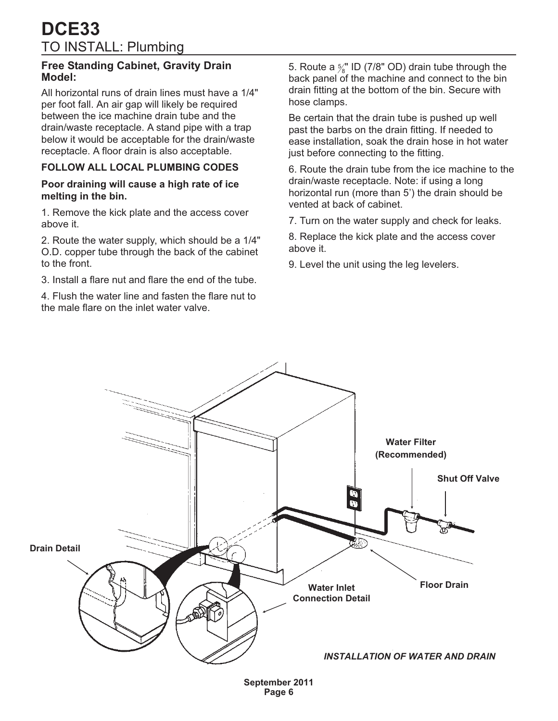### <span id="page-5-0"></span>**Free Standing Cabinet, Gravity Drain Model:**

All horizontal runs of drain lines must have a 1/4" per foot fall. An air gap will likely be required between the ice machine drain tube and the drain/waste receptacle. A stand pipe with a trap below it would be acceptable for the drain/waste receptacle. A floor drain is also acceptable.

## **FOLLOW ALL LOCAL PLUMBING CODES**

#### **Poor draining will cause a high rate of ice melting in the bin.**

1. Remove the kick plate and the access cover above it.

2. Route the water supply, which should be a 1/4" O.D. copper tube through the back of the cabinet to the front.

3. Install a flare nut and flare the end of the tube.

4. Flush the water line and fasten the flare nut to the male flare on the inlet water valve.

5. Route a  $\frac{5}{8}$ " ID (7/8" OD) drain tube through the back panel of the machine and connect to the bin drain fitting at the bottom of the bin. Secure with hose clamps.

Be certain that the drain tube is pushed up well past the barbs on the drain fitting. If needed to ease installation, soak the drain hose in hot water just before connecting to the fitting.

6. Route the drain tube from the ice machine to the drain/waste receptacle. Note: if using a long horizontal run (more than 5') the drain should be vented at back of cabinet.

7. Turn on the water supply and check for leaks.

8. Replace the kick plate and the access cover above it.

9. Level the unit using the leg levelers.



**September 2011 Page 6**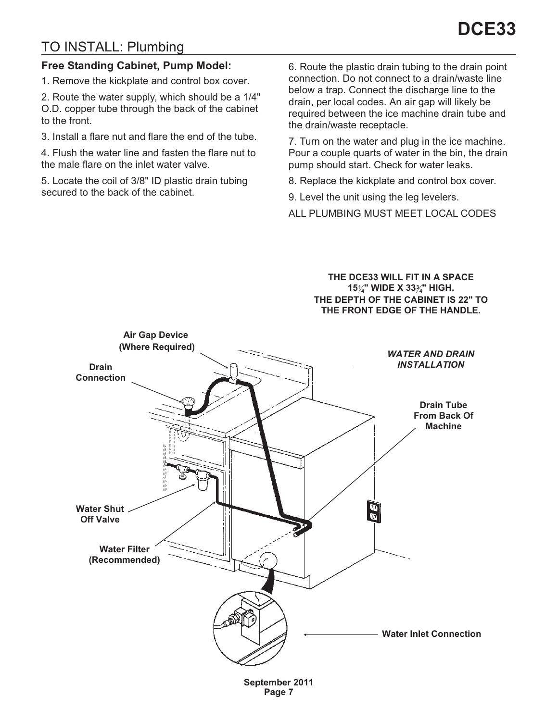# <span id="page-6-0"></span>TO INSTALL: Plumbing

### **Free Standing Cabinet, Pump Model:**

1. Remove the kickplate and control box cover.

2. Route the water supply, which should be a 1/4" O.D. copper tube through the back of the cabinet to the front.

3. Install a flare nut and flare the end of the tube.

4. Flush the water line and fasten the flare nut to the male flare on the inlet water valve.

5. Locate the coil of 3/8" ID plastic drain tubing secured to the back of the cabinet.

6. Route the plastic drain tubing to the drain point connection. Do not connect to a drain/waste line below a trap. Connect the discharge line to the drain, per local codes. An air gap will likely be required between the ice machine drain tube and the drain/waste receptacle.

7. Turn on the water and plug in the ice machine. Pour a couple quarts of water in the bin, the drain pump should start. Check for water leaks.

8. Replace the kickplate and control box cover.

9. Level the unit using the leg levelers.

**ALL PLUMBING MUST MEET LOCAL CODES**

**THE DCE33 WILL FIT IN A SPACE 151 4" WIDE X 333 4" HIGH. THE DEPTH OF THE CABINET IS 22" TO THE FRONT EDGE OF THE HANDLE.**



**Page 7**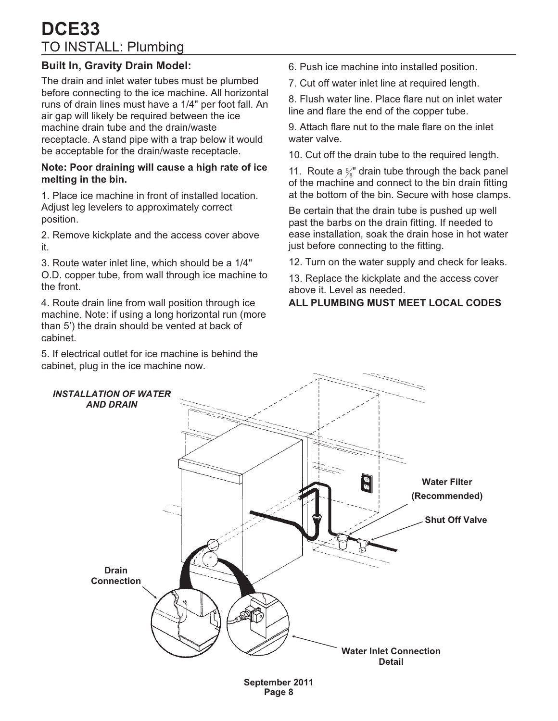# <span id="page-7-0"></span>TO INSTALL: Plumbing **DCE33**

## **Built In, Gravity Drain Model:**

The drain and inlet water tubes must be plumbed before connecting to the ice machine. All horizontal runs of drain lines must have a 1/4" per foot fall. An air gap will likely be required between the ice machine drain tube and the drain/waste receptacle. A stand pipe with a trap below it would be acceptable for the drain/waste receptacle.

#### **Note: Poor draining will cause a high rate of ice melting in the bin.**

1. Place ice machine in front of installed location. Adjust leg levelers to approximately correct position.

2. Remove kickplate and the access cover above it.

3. Route water inlet line, which should be a 1/4" O.D. copper tube, from wall through ice machine to the front.

4. Route drain line from wall position through ice machine. Note: if using a long horizontal run (more than 5') the drain should be vented at back of cabinet.

5. If electrical outlet for ice machine is behind the cabinet, plug in the ice machine now.

6. Push ice machine into installed position.

7. Cut off water inlet line at required length.

8. Flush water line. Place flare nut on inlet water line and flare the end of the copper tube.

9. Attach flare nut to the male flare on the inlet water valve.

10. Cut off the drain tube to the required length.

11. Route a  $\frac{5}{8}$ " drain tube through the back panel of the machine and connect to the bin drain fitting at the bottom of the bin. Secure with hose clamps.

Be certain that the drain tube is pushed up well past the barbs on the drain fitting. If needed to ease installation, soak the drain hose in hot water just before connecting to the fitting.

12. Turn on the water supply and check for leaks.

13. Replace the kickplate and the access cover above it. Level as needed.

### **ALL PLUMBING MUST MEET LOCAL CODES**

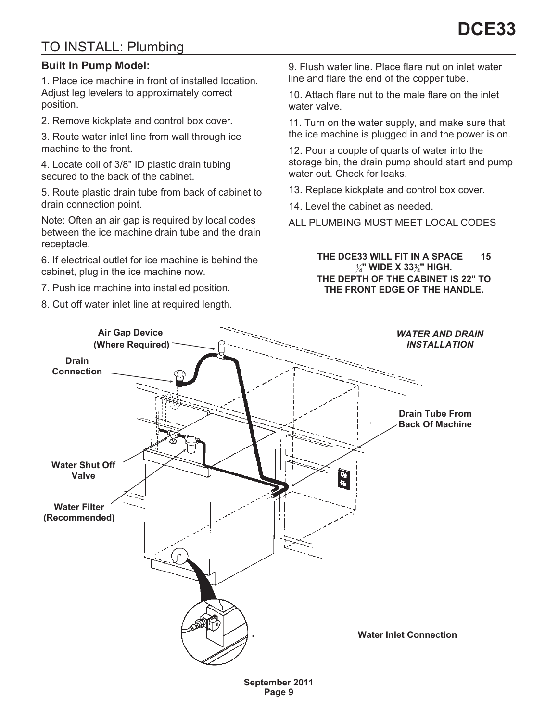# <span id="page-8-0"></span>TO INSTALL: Plumbing

### **Built In Pump Model:**

1. Place ice machine in front of installed location. Adjust leg levelers to approximately correct position.

2. Remove kickplate and control box cover.

3. Route water inlet line from wall through ice machine to the front.

4. Locate coil of 3/8" ID plastic drain tubing secured to the back of the cabinet.

5. Route plastic drain tube from back of cabinet to drain connection point.

Note: Often an air gap is required by local codes between the ice machine drain tube and the drain receptacle.

6. If electrical outlet for ice machine is behind the cabinet, plug in the ice machine now.

7. Push ice machine into installed position.

8. Cut off water inlet line at required length.

9. Flush water line. Place flare nut on inlet water line and flare the end of the copper tube.

10. Attach flare nut to the male flare on the inlet water valve.

11. Turn on the water supply, and make sure that the ice machine is plugged in and the power is on.

12. Pour a couple of quarts of water into the storage bin, the drain pump should start and pump water out. Check for leaks.

13. Replace kickplate and control box cover.

14. Level the cabinet as needed.

**ALL PLUMBING MUST MEET LOCAL CODES**

#### **THE DCE33 WILL FIT IN A SPACE 15 1 4" WIDE X 333 4" HIGH. THE DEPTH OF THE CABINET IS 22" TO THE FRONT EDGE OF THE HANDLE.**

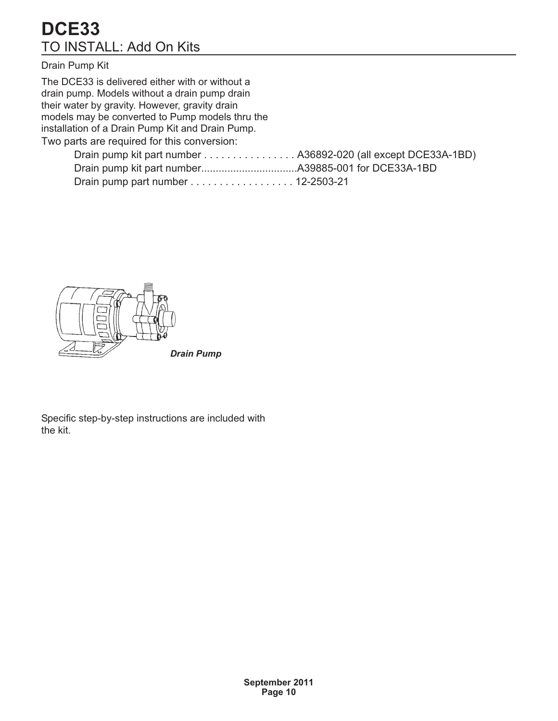# <span id="page-9-0"></span>TO INSTALL: Add On Kits **DCE33**

### Drain Pump Kit

The DCE33 is delivered either with or without a drain pump. Models without a drain pump drain their water by gravity. However, gravity drain models may be converted to Pump models thru the installation of a Drain Pump Kit and Drain Pump.

Two parts are required for this conversion:

| Drain pump part number 12-2503-21 |  |
|-----------------------------------|--|



*Drain Pump*

Specific step-by-step instructions are included with the kit.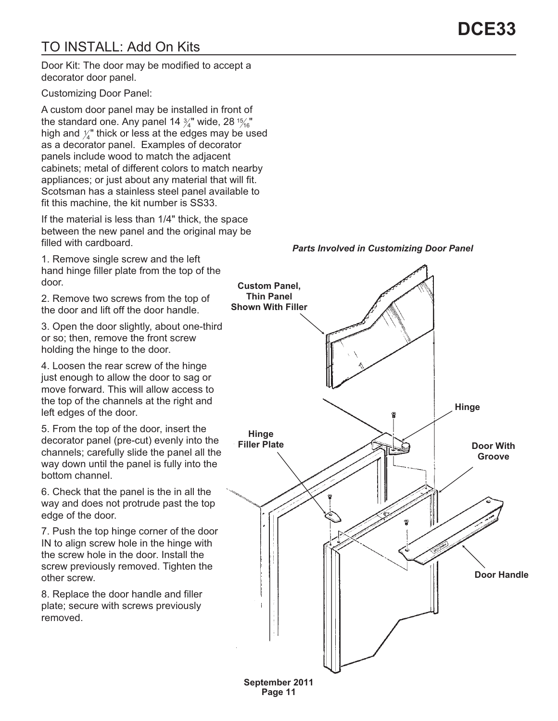# <span id="page-10-0"></span>TO INSTALL: Add On Kits

Door Kit: The door may be modified to accept a decorator door panel.

Customizing Door Panel:

A custom door panel may be installed in front of the standard one. Any panel 14  $\frac{3}{4}$ " wide, 28  $\frac{15}{16}$ " high and  $\frac{\gamma}{4}$ " thick or less at the edges may be used as a decorator panel. Examples of decorator panels include wood to match the adjacent cabinets; metal of different colors to match nearby appliances; or just about any material that will fit. Scotsman has a stainless steel panel available to fit this machine, the kit number is SS33.

If the material is less than 1/4" thick, the space between the new panel and the original may be filled with cardboard.

1. Remove single screw and the left hand hinge filler plate from the top of the door.

2. Remove two screws from the top of the door and lift off the door handle.

3. Open the door slightly, about one-third or so; then, remove the front screw holding the hinge to the door.

4. Loosen the rear screw of the hinge just enough to allow the door to sag or move forward. This will allow access to the top of the channels at the right and left edges of the door.

5. From the top of the door, insert the decorator panel (pre-cut) evenly into the channels; carefully slide the panel all the way down until the panel is fully into the bottom channel.

6. Check that the panel is the in all the way and does not protrude past the top edge of the door.

7. Push the top hinge corner of the door IN to align screw hole in the hinge with the screw hole in the door. Install the screw previously removed. Tighten the other screw.

8. Replace the door handle and filler plate; secure with screws previously removed.



*Parts Involved in Customizing Door Panel*

**September 2011 Page 11**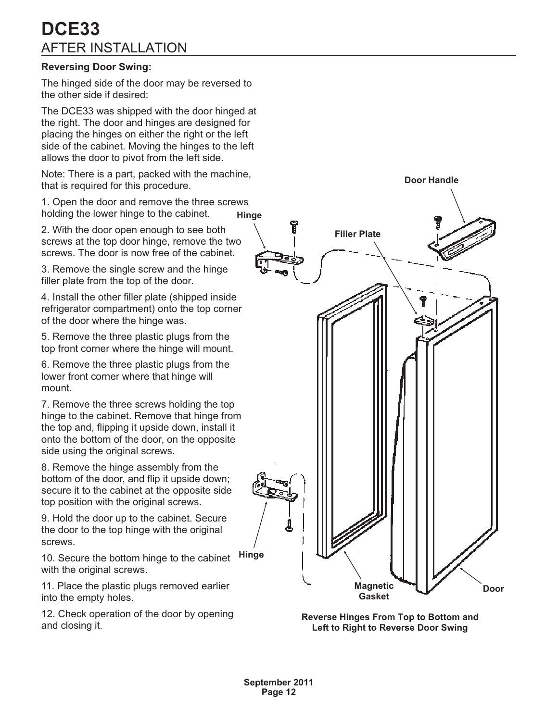# <span id="page-11-0"></span>**DCE33** AFTER INSTALLATION

#### **Reversing Door Swing:**

The hinged side of the door may be reversed to the other side if desired:

The DCE33 was shipped with the door hinged at the right. The door and hinges are designed for placing the hinges on either the right or the left side of the cabinet. Moving the hinges to the left allows the door to pivot from the left side.

Note: There is a part, packed with the machine, that is required for this procedure.

1. Open the door and remove the three screws holding the lower hinge to the cabinet. **Hinge**

2. With the door open enough to see both screws at the top door hinge, remove the two screws. The door is now free of the cabinet

3. Remove the single screw and the hinge filler plate from the top of the door.

4. Install the other filler plate (shipped inside refrigerator compartment) onto the top corner of the door where the hinge was.

5. Remove the three plastic plugs from the top front corner where the hinge will mount.

6. Remove the three plastic plugs from the lower front corner where that hinge will mount.

7. Remove the three screws holding the top hinge to the cabinet. Remove that hinge from the top and, flipping it upside down, install it onto the bottom of the door, on the opposite side using the original screws.

8. Remove the hinge assembly from the bottom of the door, and flip it upside down; secure it to the cabinet at the opposite side top position with the original screws.

9. Hold the door up to the cabinet. Secure the door to the top hinge with the original screws.

10. Secure the bottom hinge to the cabinet with the original screws. **Hinge**

11. Place the plastic plugs removed earlier into the empty holes.

12. Check operation of the door by opening and closing it.



**Reverse Hinges From Top to Bottom and Left to Right to Reverse Door Swing**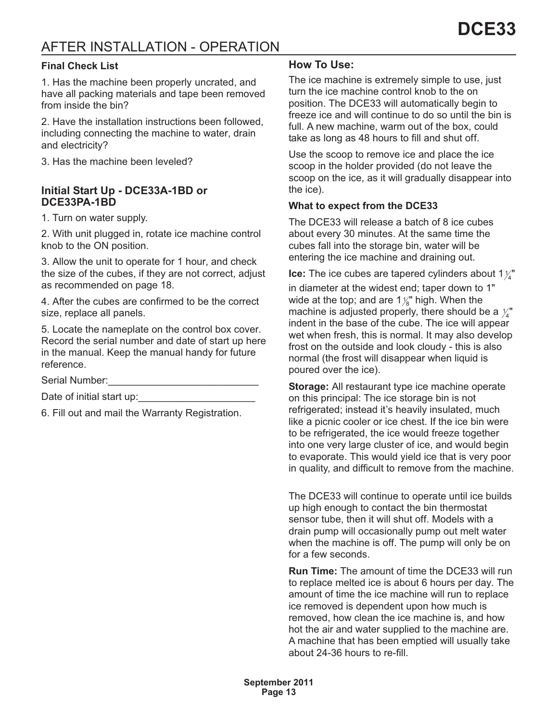# <span id="page-12-0"></span>AFTER INSTALLATION - OPERATION

#### **Final Check List**

1. Has the machine been properly uncrated, and have all packing materials and tape been removed from inside the bin?

2. Have the installation instructions been followed, including connecting the machine to water, drain and electricity?

3. Has the machine been leveled?

#### **Initial Start Up - DCE33A-1BD or DCE33PA-1BD**

1. Turn on water supply.

2. With unit plugged in, rotate ice machine control knob to the ON position.

3. Allow the unit to operate for 1 hour, and check the size of the cubes, if they are not correct, adjust as recommended on page 18.

4. After the cubes are confirmed to be the correct size, replace all panels.

5. Locate the nameplate on the control box cover. Record the serial number and date of start up here in the manual. Keep the manual handy for future reference.

Serial Number:

Date of initial start up:

6. Fill out and mail the Warranty Registration.

## **How To Use:**

The ice machine is extremely simple to use, just turn the ice machine control knob to the on position. The DCE33 will automatically begin to freeze ice and will continue to do so until the bin is full. A new machine, warm out of the box, could take as long as 48 hours to fill and shut off.

Use the scoop to remove ice and place the ice scoop in the holder provided (do not leave the scoop on the ice, as it will gradually disappear into the ice).

#### **What to expect from the DCE33**

The DCE33 will release a batch of 8 ice cubes about every 30 minutes. At the same time the cubes fall into the storage bin, water will be entering the ice machine and draining out.

**Ice:** The ice cubes are tapered cylinders about 1 $\frac{1}{4}$ 

in diameter at the widest end; taper down to 1" wide at the top; and are 1 $\frac{1}{8}$ " high. When the machine is adjusted properly, there should be a  $\mathcal{V}^*_4$ indent in the base of the cube. The ice will appear wet when fresh, this is normal. It may also develop frost on the outside and look cloudy - this is also normal (the frost will disappear when liquid is poured over the ice).

**Storage:** All restaurant type ice machine operate on this principal: The ice storage bin is not refrigerated; instead it's heavily insulated, much like a picnic cooler or ice chest. If the ice bin were to be refrigerated, the ice would freeze together into one very large cluster of ice, and would begin to evaporate. This would yield ice that is very poor in quality, and difficult to remove from the machine.

The DCE33 will continue to operate until ice builds up high enough to contact the bin thermostat sensor tube, then it will shut off. Models with a drain pump will occasionally pump out melt water when the machine is off. The pump will only be on for a few seconds.

**Run Time:** The amount of time the DCE33 will run to replace melted ice is about 6 hours per day. The amount of time the ice machine will run to replace ice removed is dependent upon how much is removed, how clean the ice machine is, and how hot the air and water supplied to the machine are. A machine that has been emptied will usually take about 24-36 hours to re-fill.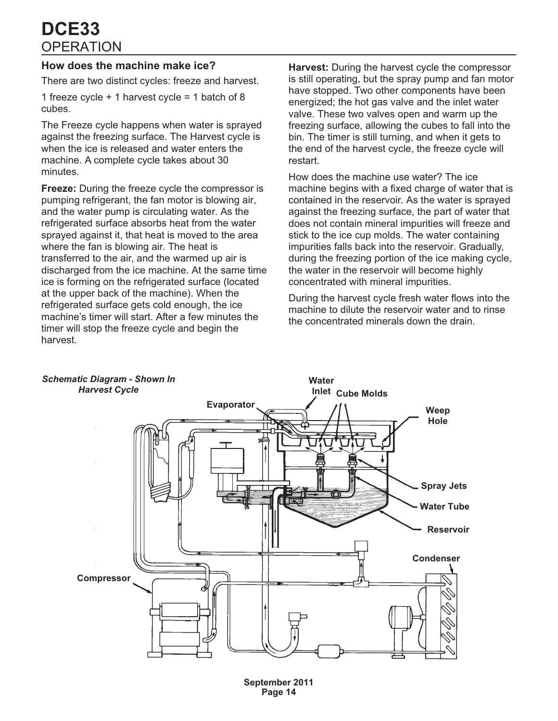# <span id="page-13-0"></span>**OPERATION DCE33**

## **How does the machine make ice?**

There are two distinct cycles: freeze and harvest.

1 freeze cycle + 1 harvest cycle = 1 batch of 8 cubes.

The Freeze cycle happens when water is sprayed against the freezing surface. The Harvest cycle is when the ice is released and water enters the machine. A complete cycle takes about 30 minutes.

**Freeze:** During the freeze cycle the compressor is pumping refrigerant, the fan motor is blowing air, and the water pump is circulating water. As the refrigerated surface absorbs heat from the water sprayed against it, that heat is moved to the area where the fan is blowing air. The heat is transferred to the air, and the warmed up air is discharged from the ice machine. At the same time ice is forming on the refrigerated surface (located at the upper back of the machine). When the refrigerated surface gets cold enough, the ice machine's timer will start. After a few minutes the timer will stop the freeze cycle and begin the harvest.

**Harvest:** During the harvest cycle the compressor is still operating, but the spray pump and fan motor have stopped. Two other components have been energized; the hot gas valve and the inlet water valve. These two valves open and warm up the freezing surface, allowing the cubes to fall into the bin. The timer is still turning, and when it gets to the end of the harvest cycle, the freeze cycle will restart.

How does the machine use water? The ice machine begins with a fixed charge of water that is contained in the reservoir. As the water is sprayed against the freezing surface, the part of water that does not contain mineral impurities will freeze and stick to the ice cup molds. The water containing impurities falls back into the reservoir. Gradually, during the freezing portion of the ice making cycle, the water in the reservoir will become highly concentrated with mineral impurities.

During the harvest cycle fresh water flows into the machine to dilute the reservoir water and to rinse the concentrated minerals down the drain.

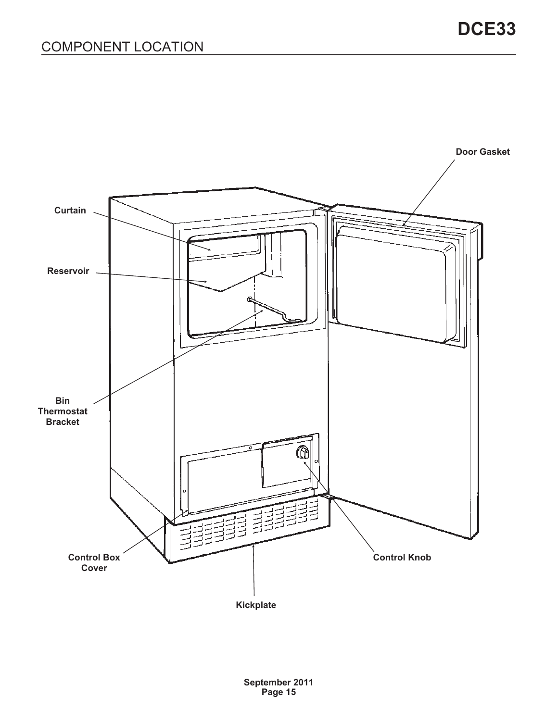<span id="page-14-0"></span>

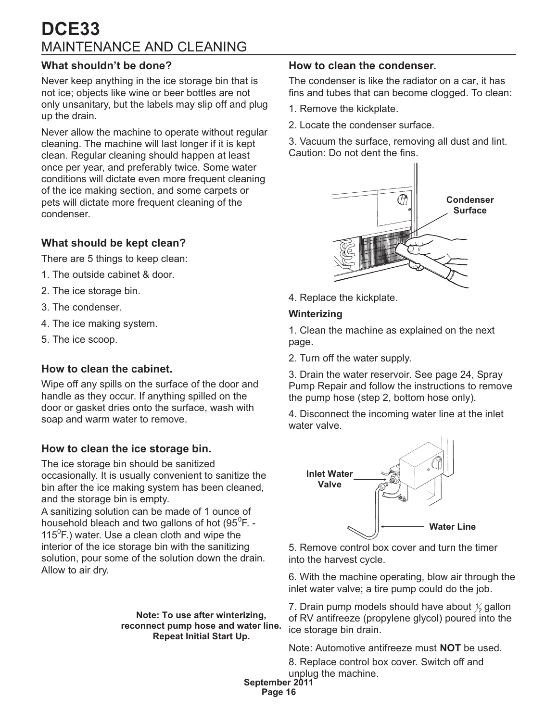# <span id="page-15-0"></span>MAINTENANCE AND CLEANING **DCE33**

## **What shouldn't be done?**

Never keep anything in the ice storage bin that is not ice; objects like wine or beer bottles are not only unsanitary, but the labels may slip off and plug up the drain.

Never allow the machine to operate without regular cleaning. The machine will last longer if it is kept clean. Regular cleaning should happen at least once per year, and preferably twice. Some water conditions will dictate even more frequent cleaning of the ice making section, and some carpets or pets will dictate more frequent cleaning of the condenser.

## **What should be kept clean?**

There are 5 things to keep clean:

- 1. The outside cabinet & door.
- 2. The ice storage bin.
- 3. The condenser.
- 4. The ice making system.
- 5. The ice scoop.

### **How to clean the cabinet.**

Wipe off any spills on the surface of the door and handle as they occur. If anything spilled on the door or gasket dries onto the surface, wash with soap and warm water to remove.

## **How to clean the ice storage bin.**

The ice storage bin should be sanitized occasionally. It is usually convenient to sanitize the bin after the ice making system has been cleaned, and the storage bin is empty.

A sanitizing solution can be made of 1 ounce of household bleach and two gallons of hot (95 $^0$ F. -115 $^0$ F.) water. Use a clean cloth and wipe the interior of the ice storage bin with the sanitizing solution, pour some of the solution down the drain. Allow to air dry.

> **Note: To use after winterizing, reconnect pump hose and water line. Repeat Initial Start Up.**

#### **How to clean the condenser.**

The condenser is like the radiator on a car, it has fins and tubes that can become clogged. To clean:

- 1. Remove the kickplate.
- 2. Locate the condenser surface.

3. Vacuum the surface, removing all dust and lint. Caution: Do not dent the fins.



4. Replace the kickplate.

#### **Winterizing**

1. Clean the machine as explained on the next page.

2. Turn off the water supply.

3. Drain the water reservoir. See page 24, Spray Pump Repair and follow the instructions to remove the pump hose (step 2, bottom hose only).

4. Disconnect the incoming water line at the inlet water valve.



5. Remove control box cover and turn the timer into the harvest cycle.

6. With the machine operating, blow air through the inlet water valve; a tire pump could do the job.

7. Drain pump models should have about  $\mathcal{V}_2$  gallon of RV antifreeze (propylene glycol) poured into the ice storage bin drain.

Note: Automotive antifreeze must **NOT** be used.

8. Replace control box cover. Switch off and unplug the machine.

**September 2011**

**Page 16**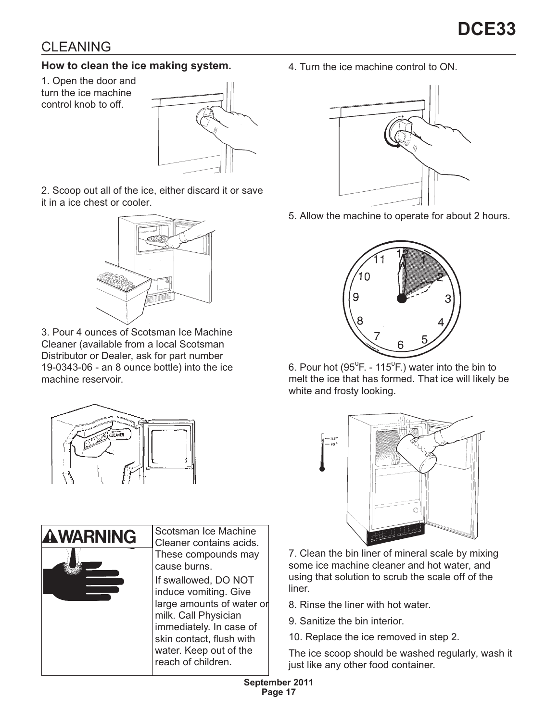# <span id="page-16-0"></span>CLEANING

## **How to clean the ice making system.**

1. Open the door and turn the ice machine control knob to off.



2. Scoop out all of the ice, either discard it or save it in a ice chest or cooler.



3. Pour 4 ounces of Scotsman Ice Machine Cleaner (available from a local Scotsman Distributor or Dealer, ask for part number 19-0343-06 - an 8 ounce bottle) into the ice machine reservoir.



**Scotsman Ice Machine AWARNING Cleaner contains acids.** These compounds may cause burns. If swallowed, DO NOT induce vomiting. Give large amounts of water or milk. Call Physician immediately. In case of skin contact, flush with water. Keep out of the reach of children.

4. Turn the ice machine control to ON.



5. Allow the machine to operate for about 2 hours.



6. Pour hot (95 $^0$ F. - 115 $^0$ F.) water into the bin to melt the ice that has formed. That ice will likely be white and frosty looking.



7. Clean the bin liner of mineral scale by mixing some ice machine cleaner and hot water, and using that solution to scrub the scale off of the liner.

- 8. Rinse the liner with hot water.
- 9. Sanitize the bin interior.
- 10. Replace the ice removed in step 2.

The ice scoop should be washed regularly, wash it just like any other food container.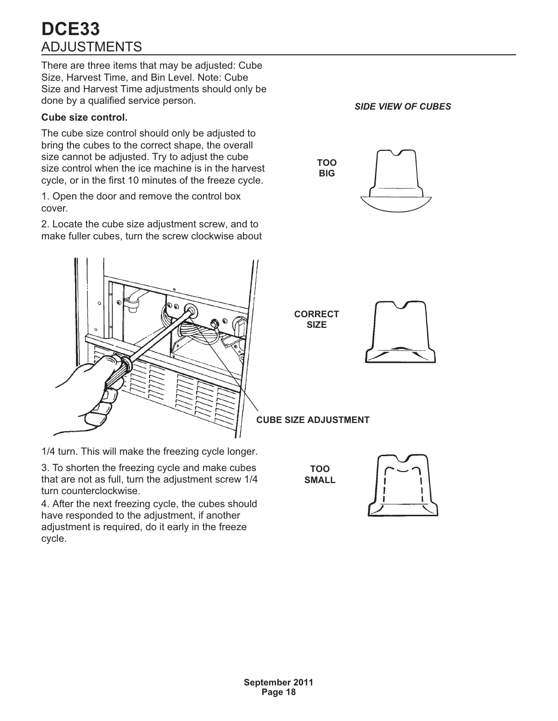# <span id="page-17-0"></span>ADJUSTMENTS **DCE33**

There are three items that may be adjusted: Cube Size, Harvest Time, and Bin Level. Note: Cube Size and Harvest Time adjustments should only be done by a qualified service person.

### **Cube size control.**

The cube size control should only be adjusted to bring the cubes to the correct shape, the overall size cannot be adjusted. Try to adjust the cube size control when the ice machine is in the harvest cycle, or in the first 10 minutes of the freeze cycle.

1. Open the door and remove the control box cover.

2. Locate the cube size adjustment screw, and to make fuller cubes, turn the screw clockwise about



1/4 turn. This will make the freezing cycle longer.

3. To shorten the freezing cycle and make cubes that are not as full, turn the adjustment screw 1/4 turn counterclockwise.

4. After the next freezing cycle, the cubes should have responded to the adjustment, if another adjustment is required, do it early in the freeze cycle.

*SIDE VIEW OF CUBES*





**CUBE SIZE ADJUSTMENT**

**TOO SMALL**

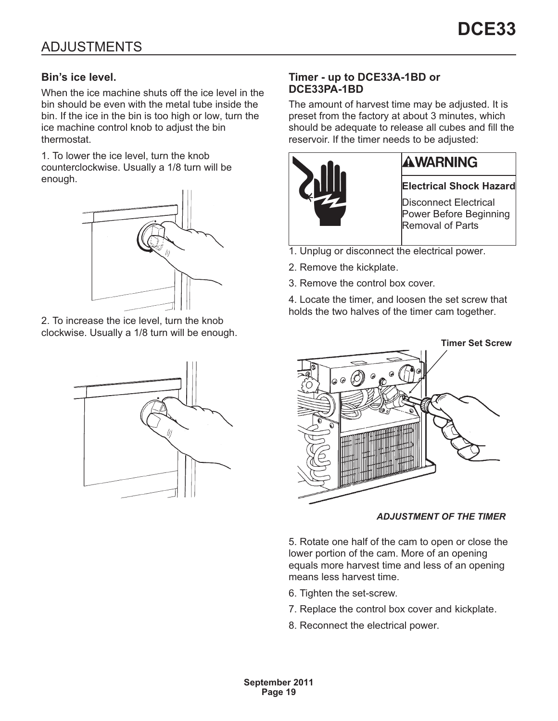## <span id="page-18-0"></span>**Bin's ice level.**

When the ice machine shuts off the ice level in the bin should be even with the metal tube inside the bin. If the ice in the bin is too high or low, turn the ice machine control knob to adjust the bin thermostat.

1. To lower the ice level, turn the knob counterclockwise. Usually a 1/8 turn will be enough.



2. To increase the ice level, turn the knob clockwise. Usually a 1/8 turn will be enough.



## **Timer - up to DCE33A-1BD or DCE33PA-1BD**

The amount of harvest time may be adjusted. It is preset from the factory at about 3 minutes, which should be adequate to release all cubes and fill the reservoir. If the timer needs to be adjusted:



- 1. Unplug or disconnect the electrical power.
- 2. Remove the kickplate.
- 3. Remove the control box cover.

4. Locate the timer, and loosen the set screw that holds the two halves of the timer cam together.



### *ADJUSTMENT OF THE TIMER*

5. Rotate one half of the cam to open or close the lower portion of the cam. More of an opening equals more harvest time and less of an opening means less harvest time.

- 6. Tighten the set-screw.
- 7. Replace the control box cover and kickplate.
- 8. Reconnect the electrical power.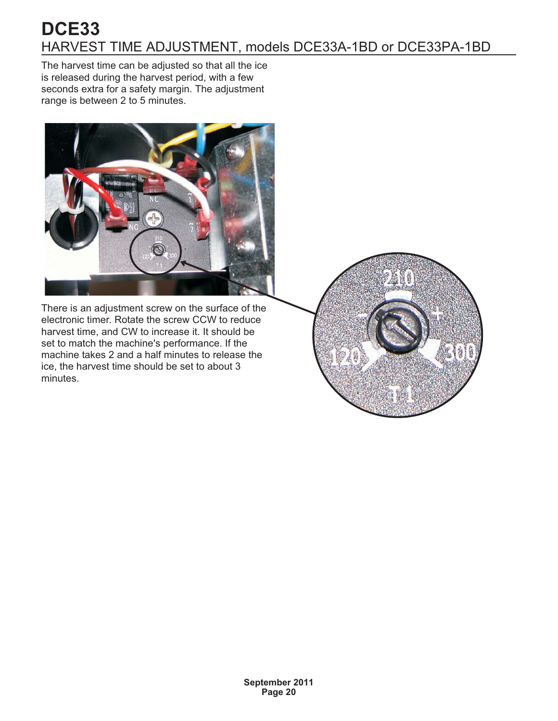# <span id="page-19-0"></span>HARVEST TIME ADJUSTMENT, models DCE33A-1BD or DCE33PA-1BD **DCE33**

The harvest time can be adjusted so that all the ice is released during the harvest period, with a few seconds extra for a safety margin. The adjustment range is between 2 to 5 minutes.



There is an adjustment screw on the surface of the electronic timer. Rotate the screw CCW to reduce harvest time, and CW to increase it. It should be set to match the machine's performance. If the machine takes 2 and a half minutes to release the ice, the harvest time should be set to about 3 minutes.

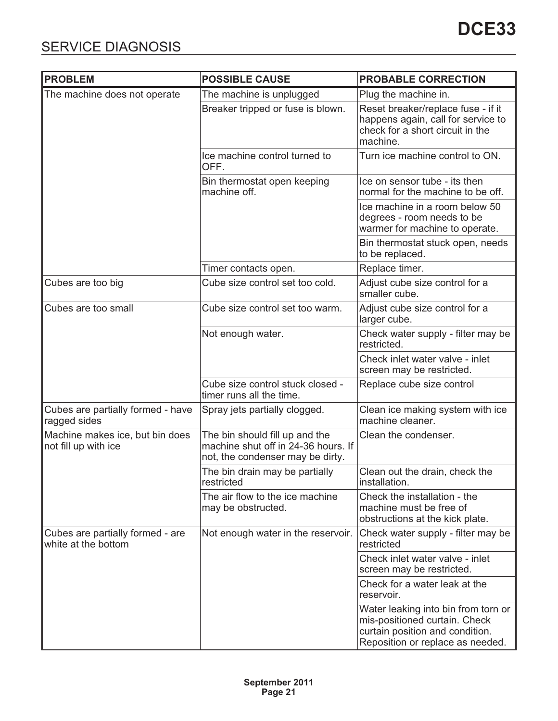<span id="page-20-0"></span>

| <b>PROBLEM</b>                                          | <b>POSSIBLE CAUSE</b>                                                                                     | <b>PROBABLE CORRECTION</b>                                                                                                                  |
|---------------------------------------------------------|-----------------------------------------------------------------------------------------------------------|---------------------------------------------------------------------------------------------------------------------------------------------|
| The machine does not operate                            | The machine is unplugged                                                                                  | Plug the machine in.                                                                                                                        |
|                                                         | Breaker tripped or fuse is blown.                                                                         | Reset breaker/replace fuse - if it<br>happens again, call for service to<br>check for a short circuit in the<br>machine.                    |
|                                                         | Ice machine control turned to<br>OFF.                                                                     | Turn ice machine control to ON.                                                                                                             |
|                                                         | Bin thermostat open keeping<br>machine off.                                                               | Ice on sensor tube - its then<br>normal for the machine to be off.                                                                          |
|                                                         |                                                                                                           | Ice machine in a room below 50<br>degrees - room needs to be<br>warmer for machine to operate.                                              |
|                                                         |                                                                                                           | Bin thermostat stuck open, needs<br>to be replaced.                                                                                         |
|                                                         | Timer contacts open.                                                                                      | Replace timer.                                                                                                                              |
| Cubes are too big                                       | Cube size control set too cold.                                                                           | Adjust cube size control for a<br>smaller cube.                                                                                             |
| Cubes are too small                                     | Cube size control set too warm.                                                                           | Adjust cube size control for a<br>larger cube.                                                                                              |
|                                                         | Not enough water.                                                                                         | Check water supply - filter may be<br>restricted.                                                                                           |
|                                                         |                                                                                                           | Check inlet water valve - inlet<br>screen may be restricted.                                                                                |
|                                                         | Cube size control stuck closed -<br>timer runs all the time.                                              | Replace cube size control                                                                                                                   |
| Cubes are partially formed - have<br>ragged sides       | Spray jets partially clogged.                                                                             | Clean ice making system with ice<br>machine cleaner.                                                                                        |
| Machine makes ice, but bin does<br>not fill up with ice | The bin should fill up and the<br>machine shut off in 24-36 hours. If<br>not, the condenser may be dirty. | Clean the condenser.                                                                                                                        |
|                                                         | The bin drain may be partially<br>restricted                                                              | Clean out the drain, check the<br>installation.                                                                                             |
|                                                         | The air flow to the ice machine<br>may be obstructed.                                                     | Check the installation - the<br>machine must be free of<br>obstructions at the kick plate.                                                  |
| Cubes are partially formed - are<br>white at the bottom | Not enough water in the reservoir.                                                                        | Check water supply - filter may be<br>restricted                                                                                            |
|                                                         |                                                                                                           | Check inlet water valve - inlet<br>screen may be restricted.                                                                                |
|                                                         |                                                                                                           | Check for a water leak at the<br>reservoir.                                                                                                 |
|                                                         |                                                                                                           | Water leaking into bin from torn or<br>mis-positioned curtain. Check<br>curtain position and condition.<br>Reposition or replace as needed. |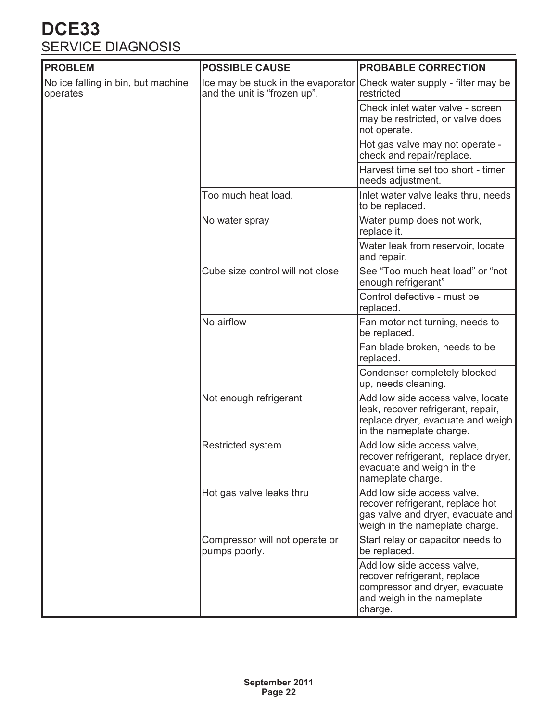# <span id="page-21-0"></span>SERVICE DIAGNOSIS **DCE33**

| <b>PROBLEM</b>                                 | <b>POSSIBLE CAUSE</b>                                              | <b>PROBABLE CORRECTION</b>                                                                                                               |
|------------------------------------------------|--------------------------------------------------------------------|------------------------------------------------------------------------------------------------------------------------------------------|
| No ice falling in bin, but machine<br>operates | Ice may be stuck in the evaporator<br>and the unit is "frozen up". | Check water supply - filter may be<br>restricted                                                                                         |
|                                                |                                                                    | Check inlet water valve - screen<br>may be restricted, or valve does<br>not operate.                                                     |
|                                                |                                                                    | Hot gas valve may not operate -<br>check and repair/replace.                                                                             |
|                                                |                                                                    | Harvest time set too short - timer<br>needs adjustment.                                                                                  |
|                                                | Too much heat load.                                                | Inlet water valve leaks thru, needs<br>to be replaced.                                                                                   |
|                                                | No water spray                                                     | Water pump does not work,<br>replace it.                                                                                                 |
|                                                |                                                                    | Water leak from reservoir, locate<br>and repair.                                                                                         |
|                                                | Cube size control will not close                                   | See "Too much heat load" or "not<br>enough refrigerant"                                                                                  |
|                                                |                                                                    | Control defective - must be<br>replaced.                                                                                                 |
|                                                | No airflow                                                         | Fan motor not turning, needs to<br>be replaced.                                                                                          |
|                                                |                                                                    | Fan blade broken, needs to be<br>replaced.                                                                                               |
|                                                |                                                                    | Condenser completely blocked<br>up, needs cleaning.                                                                                      |
|                                                | Not enough refrigerant                                             | Add low side access valve, locate<br>leak, recover refrigerant, repair,<br>replace dryer, evacuate and weigh<br>in the nameplate charge. |
|                                                | <b>Restricted system</b>                                           | Add low side access valve,<br>recover refrigerant, replace dryer,<br>evacuate and weigh in the<br>nameplate charge.                      |
|                                                | Hot gas valve leaks thru                                           | Add low side access valve,<br>recover refrigerant, replace hot<br>gas valve and dryer, evacuate and<br>weigh in the nameplate charge.    |
|                                                | Compressor will not operate or<br>pumps poorly.                    | Start relay or capacitor needs to<br>be replaced.                                                                                        |
|                                                |                                                                    | Add low side access valve,<br>recover refrigerant, replace<br>compressor and dryer, evacuate<br>and weigh in the nameplate<br>charge.    |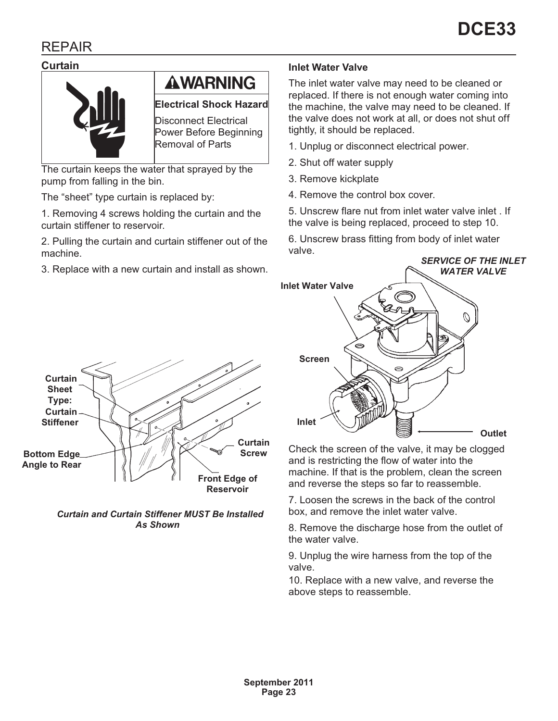# <span id="page-22-0"></span>REPAIR

#### **Curtain**



# **AWARNING**

**Electrical Shock Hazard**

Disconnect Electrical Power Before Beginning Removal of Parts

The curtain keeps the water that sprayed by the pump from falling in the bin.

The "sheet" type curtain is replaced by:

1. Removing 4 screws holding the curtain and the curtain stiffener to reservoir.

2. Pulling the curtain and curtain stiffener out of the machine.

3. Replace with a new curtain and install as shown.

#### **Inlet Water Valve**

The inlet water valve may need to be cleaned or replaced. If there is not enough water coming into the machine, the valve may need to be cleaned. If the valve does not work at all, or does not shut off tightly, it should be replaced.

- 1. Unplug or disconnect electrical power.
- 2. Shut off water supply
- 3. Remove kickplate
- 4. Remove the control box cover.

5. Unscrew flare nut from inlet water valve inlet . If the valve is being replaced, proceed to step 10.

6. Unscrew brass fitting from body of inlet water valve.



Check the screen of the valve, it may be clogged and is restricting the flow of water into the machine. If that is the problem, clean the screen and reverse the steps so far to reassemble.

7. Loosen the screws in the back of the control box, and remove the inlet water valve.

8. Remove the discharge hose from the outlet of the water valve.

9. Unplug the wire harness from the top of the valve.

10. Replace with a new valve, and reverse the above steps to reassemble.



*Curtain and Curtain Stiffener MUST Be Installed As Shown*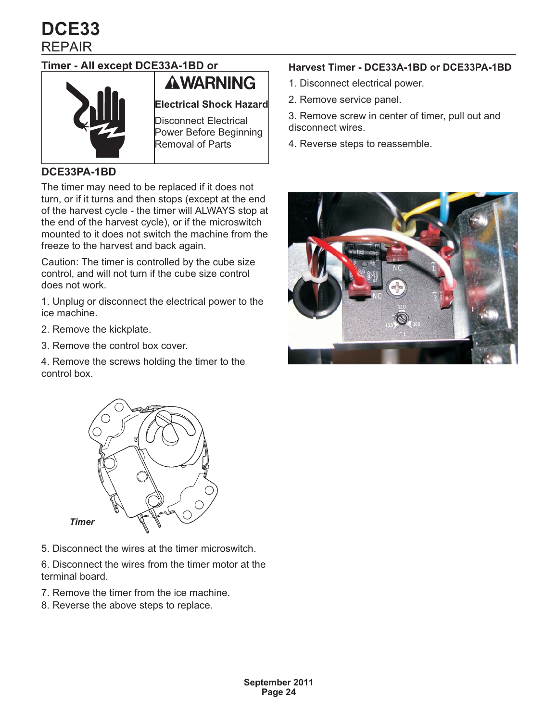<span id="page-23-0"></span>REPAIR **DCE33**

## **Timer - All except DCE33A-1BD or**



# **AWARNING**

**Electrical Shock Hazard**

Disconnect Electrical Power Before Beginning Removal of Parts

### **DCE33PA-1BD**

The timer may need to be replaced if it does not turn, or if it turns and then stops (except at the end of the harvest cycle - the timer will ALWAYS stop at the end of the harvest cycle), or if the microswitch mounted to it does not switch the machine from the freeze to the harvest and back again.

Caution: The timer is controlled by the cube size control, and will not turn if the cube size control does not work.

1. Unplug or disconnect the electrical power to the ice machine.

- 2. Remove the kickplate.
- 3. Remove the control box cover.

4. Remove the screws holding the timer to the control box.



5. Disconnect the wires at the timer microswitch.

6. Disconnect the wires from the timer motor at the terminal board.

- 7. Remove the timer from the ice machine.
- 8. Reverse the above steps to replace.

### **Harvest Timer - DCE33A-1BD or DCE33PA-1BD**

- 1. Disconnect electrical power.
- 2. Remove service panel.

3. Remove screw in center of timer, pull out and disconnect wires.

4. Reverse steps to reassemble.

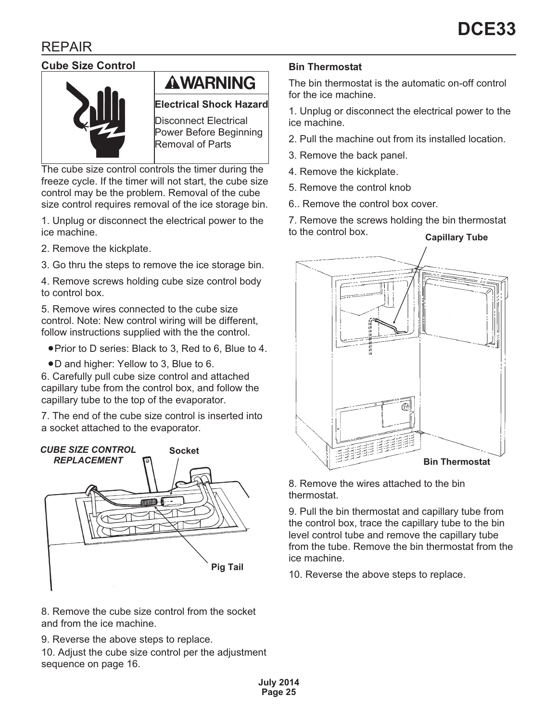# <span id="page-24-0"></span>REPAIR

## **Cube Size Control**



# **AWARNING**

**Electrical Shock Hazard**

Disconnect Electrical Power Before Beginning Removal of Parts

The cube size control controls the timer during the freeze cycle. If the timer will not start, the cube size control may be the problem. Removal of the cube size control requires removal of the ice storage bin.

1. Unplug or disconnect the electrical power to the ice machine.

- 2. Remove the kickplate.
- 3. Go thru the steps to remove the ice storage bin.

4. Remove screws holding cube size control body to control box.

5. Remove wires connected to the cube size control. Note: New control wiring will be different, follow instructions supplied with the the control.

- **-**Prior to D series: Black to 3, Red to 6, Blue to 4.
- **-**D and higher: Yellow to 3, Blue to 6.

6. Carefully pull cube size control and attached capillary tube from the control box, and follow the capillary tube to the top of the evaporator.

7. The end of the cube size control is inserted into a socket attached to the evaporator.



8. Remove the cube size control from the socket and from the ice machine.

9. Reverse the above steps to replace.

10. Adjust the cube size control per the adjustment sequence on page 16.

### **Bin Thermostat**

The bin thermostat is the automatic on-off control for the ice machine.

1. Unplug or disconnect the electrical power to the ice machine.

- 2. Pull the machine out from its installed location.
- 3. Remove the back panel.
- 4. Remove the kickplate.
- 5. Remove the control knob
- 6.. Remove the control box cover.

7. Remove the screws holding the bin thermostat to the control box. **Capillary Tube**



8. Remove the wires attached to the bin thermostat.

9. Pull the bin thermostat and capillary tube from the control box, trace the capillary tube to the bin level control tube and remove the capillary tube from the tube. Remove the bin thermostat from the ice machine.

10. Reverse the above steps to replace.